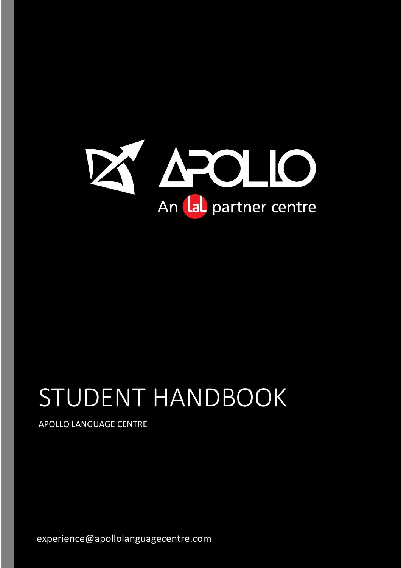

# STUDENT HANDBOOK

APOLLO LANGUAGE CENTRE

experience@apollolanguagecentre.com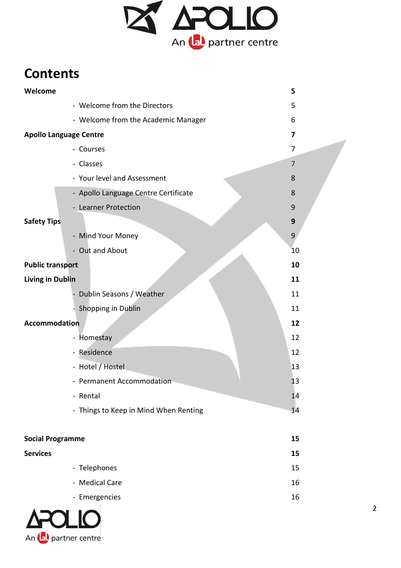

# **Contents**

| Welcome                       |                                       | 5              |
|-------------------------------|---------------------------------------|----------------|
|                               | - Welcome from the Directors          | 5              |
|                               | - Welcome from the Academic Manager   | 6              |
| <b>Apollo Language Centre</b> |                                       | 7              |
|                               | - Courses                             | 7              |
|                               | - Classes                             | $\overline{7}$ |
|                               | - Your level and Assessment           | 8              |
|                               | - Apollo Language Centre Certificate  | 8              |
|                               | - Learner Protection                  | 9              |
| <b>Safety Tips</b>            |                                       | 9              |
|                               | - Mind Your Money                     | 9              |
|                               | - Out and About                       | 10             |
| <b>Public transport</b>       |                                       | 10             |
| <b>Living in Dublin</b>       |                                       | 11             |
|                               | Dublin Seasons / Weather              | 11             |
|                               | - Shopping in Dublin                  | 11             |
| <b>Accommodation</b>          |                                       | 12             |
|                               | - Homestay                            | 12             |
|                               | - Residence                           | 12             |
|                               | - Hotel / Hostel                      | 13             |
|                               | - Permanent Accommodation             | 13             |
|                               | - Rental                              | 14             |
|                               | - Things to Keep in Mind When Renting | 14             |
|                               |                                       |                |
| <b>Social Programme</b>       |                                       | 15             |

| Sucial Programme |                | TJ. |
|------------------|----------------|-----|
| <b>Services</b>  |                | 15  |
|                  | - Telephones   | 15  |
|                  | - Medical Care | 16  |
|                  | - Emergencies  | 16  |

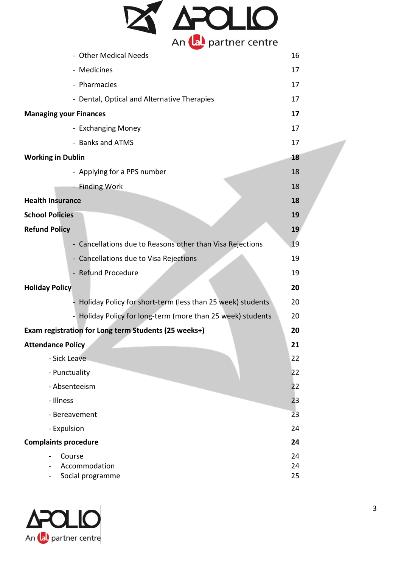

| - Other Medical Needs                                       | 16       |
|-------------------------------------------------------------|----------|
| - Medicines                                                 | 17       |
| - Pharmacies                                                | 17       |
| - Dental, Optical and Alternative Therapies                 | 17       |
| <b>Managing your Finances</b>                               | 17       |
| - Exchanging Money                                          | 17       |
| - Banks and ATMS                                            | 17       |
| <b>Working in Dublin</b>                                    | 18       |
| - Applying for a PPS number                                 | 18       |
| <b>Finding Work</b>                                         | 18       |
| <b>Health Insurance</b>                                     | 18       |
| <b>School Policies</b>                                      | 19       |
| <b>Refund Policy</b>                                        | 19       |
| - Cancellations due to Reasons other than Visa Rejections   | 19       |
| - Cancellations due to Visa Rejections                      | 19       |
| - Refund Procedure                                          | 19       |
| <b>Holiday Policy</b>                                       | 20       |
| Holiday Policy for short-term (less than 25 week) students  | 20       |
| - Holiday Policy for long-term (more than 25 week) students | 20       |
| Exam registration for Long term Students (25 weeks+)        | 20       |
| <b>Attendance Policy</b>                                    | 21       |
| - Sick Leave                                                | 22       |
| - Punctuality                                               | 22       |
| - Absenteeism                                               | 22       |
| - Illness                                                   | 23       |
| - Bereavement                                               | 23       |
| - Expulsion                                                 | 24       |
| <b>Complaints procedure</b>                                 | 24       |
| Course<br>Accommodation                                     | 24       |
| Social programme                                            | 24<br>25 |

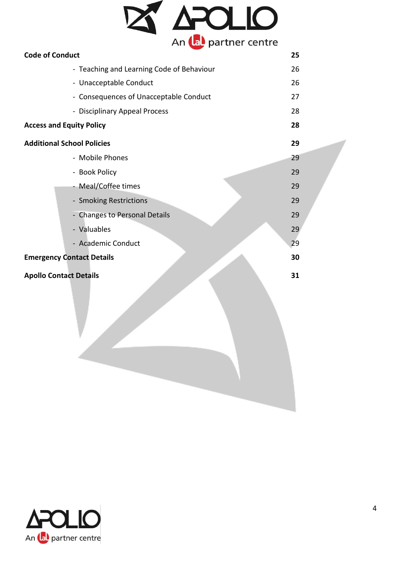|                                   | APOLIO                                    |    |
|-----------------------------------|-------------------------------------------|----|
| <b>Code of Conduct</b>            |                                           | 25 |
|                                   | - Teaching and Learning Code of Behaviour | 26 |
|                                   | - Unacceptable Conduct                    | 26 |
|                                   | - Consequences of Unacceptable Conduct    | 27 |
|                                   | - Disciplinary Appeal Process             | 28 |
| <b>Access and Equity Policy</b>   | 28                                        |    |
| <b>Additional School Policies</b> |                                           | 29 |
|                                   | - Mobile Phones                           | 29 |
|                                   | - Book Policy                             | 29 |
|                                   | - Meal/Coffee times                       | 29 |
|                                   | - Smoking Restrictions                    | 29 |
|                                   | - Changes to Personal Details             | 29 |
|                                   | - Valuables                               | 29 |
|                                   | - Academic Conduct                        | 29 |
|                                   | <b>Emergency Contact Details</b>          | 30 |
|                                   |                                           |    |
|                                   | <b>Apollo Contact Details</b>             | 31 |
|                                   |                                           |    |
|                                   |                                           |    |
|                                   |                                           |    |
|                                   |                                           |    |
|                                   |                                           |    |
|                                   |                                           |    |
|                                   |                                           |    |
|                                   |                                           |    |
|                                   |                                           |    |

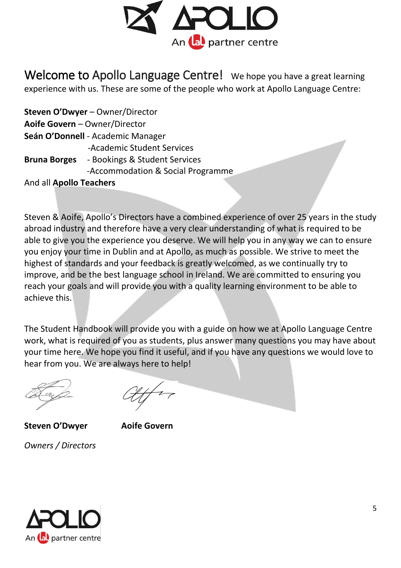

Welcome to Apollo Language Centre! We hope you have a great learning experience with us. These are some of the people who work at Apollo Language Centre:

**Steven O'Dwyer** – Owner/Director **Aoife Govern** – Owner/Director **Seán O'Donnell** - Academic Manager -Academic Student Services **Bruna Borges** - Bookings & Student Services -Accommodation & Social Programme And all **Apollo Teachers**

Steven & Aoife, Apollo's Directors have a combined experience of over 25 years in the study abroad industry and therefore have a very clear understanding of what is required to be able to give you the experience you deserve. We will help you in any way we can to ensure you enjoy your time in Dublin and at Apollo, as much as possible. We strive to meet the highest of standards and your feedback is greatly welcomed, as we continually try to improve, and be the best language school in Ireland. We are committed to ensuring you reach your goals and will provide you with a quality learning environment to be able to achieve this.

The Student Handbook will provide you with a guide on how we at Apollo Language Centre work, what is required of you as students, plus answer many questions you may have about your time here. We hope you find it useful, and if you have any questions we would love to hear from you. We are always here to help!

**Steven O'Dwyer Aoife Govern**  *Owners / Directors* 

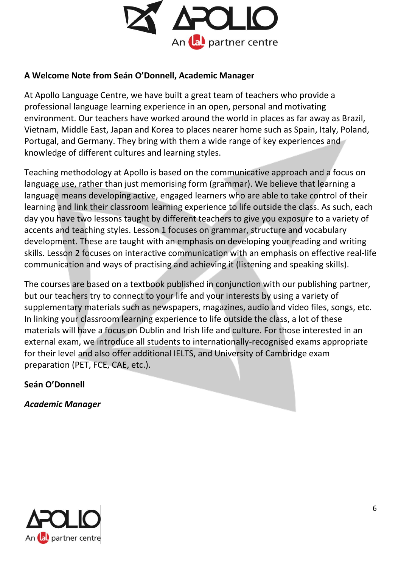

# **A Welcome Note from Seán O'Donnell, Academic Manager**

At Apollo Language Centre, we have built a great team of teachers who provide a professional language learning experience in an open, personal and motivating environment. Our teachers have worked around the world in places as far away as Brazil, Vietnam, Middle East, Japan and Korea to places nearer home such as Spain, Italy, Poland, Portugal, and Germany. They bring with them a wide range of key experiences and knowledge of different cultures and learning styles.

Teaching methodology at Apollo is based on the communicative approach and a focus on language use, rather than just memorising form (grammar). We believe that learning a language means developing active, engaged learners who are able to take control of their learning and link their classroom learning experience to life outside the class. As such, each day you have two lessons taught by different teachers to give you exposure to a variety of accents and teaching styles. Lesson 1 focuses on grammar, structure and vocabulary development. These are taught with an emphasis on developing your reading and writing skills. Lesson 2 focuses on interactive communication with an emphasis on effective real-life communication and ways of practising and achieving it (listening and speaking skills).

The courses are based on a textbook published in conjunction with our publishing partner, but our teachers try to connect to your life and your interests by using a variety of supplementary materials such as newspapers, magazines, audio and video files, songs, etc. In linking your classroom learning experience to life outside the class, a lot of these materials will have a focus on Dublin and Irish life and culture. For those interested in an external exam, we introduce all students to internationally-recognised exams appropriate for their level and also offer additional IELTS, and University of Cambridge exam preparation (PET, FCE, CAE, etc.).

# **Seán O'Donnell**

*Academic Manager* 

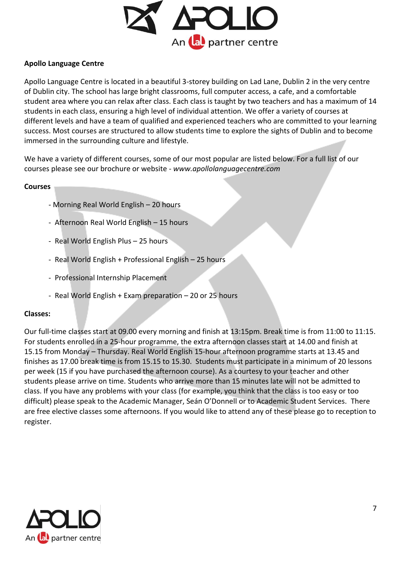

#### **Apollo Language Centre**

Apollo Language Centre is located in a beautiful 3-storey building on Lad Lane, Dublin 2 in the very centre of Dublin city. The school has large bright classrooms, full computer access, a cafe, and a comfortable student area where you can relax after class. Each class is taught by two teachers and has a maximum of 14 students in each class, ensuring a high level of individual attention. We offer a variety of courses at different levels and have a team of qualified and experienced teachers who are committed to your learning success. Most courses are structured to allow students time to explore the sights of Dublin and to become immersed in the surrounding culture and lifestyle.

We have a variety of different courses, some of our most popular are listed below. For a full list of our courses please see our brochure or website - *www.apollolanguagecentre.com* 

#### **Courses**

- Morning Real World English 20 hours
- Afternoon Real World English 15 hours
- Real World English Plus 25 hours
- Real World English + Professional English 25 hours
- Professional Internship Placement
- Real World English + Exam preparation 20 or 25 hours

#### **Classes:**

Our full-time classes start at 09.00 every morning and finish at 13:15pm. Break time is from 11:00 to 11:15. For students enrolled in a 25-hour programme, the extra afternoon classes start at 14.00 and finish at 15.15 from Monday – Thursday. Real World English 15-hour afternoon programme starts at 13.45 and finishes as 17.00 break time is from 15.15 to 15.30. Students must participate in a minimum of 20 lessons per week (15 if you have purchased the afternoon course). As a courtesy to your teacher and other students please arrive on time. Students who arrive more than 15 minutes late will not be admitted to class. If you have any problems with your class (for example, you think that the class is too easy or too difficult) please speak to the Academic Manager, Seán O'Donnell or to Academic Student Services. There are free elective classes some afternoons. If you would like to attend any of these please go to reception to register.

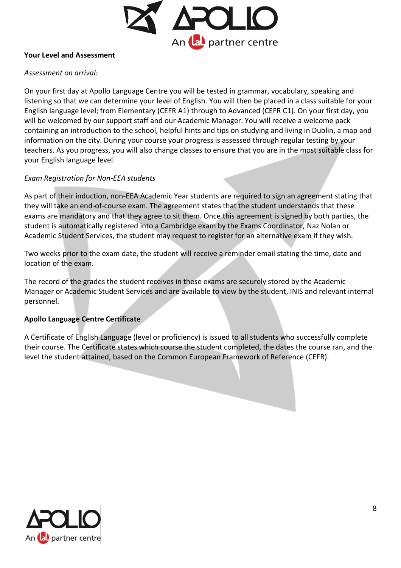

#### **Your Level and Assessment**

#### *Assessment on arrival:*

On your first day at Apollo Language Centre you will be tested in grammar, vocabulary, speaking and listening so that we can determine your level of English. You will then be placed in a class suitable for your English language level; from Elementary (CEFR A1) through to Advanced (CEFR C1). On your first day, you will be welcomed by our support staff and our Academic Manager. You will receive a welcome pack containing an introduction to the school, helpful hints and tips on studying and living in Dublin, a map and information on the city. During your course your progress is assessed through regular testing by your teachers. As you progress, you will also change classes to ensure that you are in the most suitable class for your English language level.

# *Exam Registration for Non-EEA students*

As part of their induction, non-EEA Academic Year students are required to sign an agreement stating that they will take an end-of-course exam. The agreement states that the student understands that these exams are mandatory and that they agree to sit them. Once this agreement is signed by both parties, the student is automatically registered into a Cambridge exam by the Exams Coordinator, Naz Nolan or Academic Student Services, the student may request to register for an alternative exam if they wish.

Two weeks prior to the exam date, the student will receive a reminder email stating the time, date and location of the exam.

The record of the grades the student receives in these exams are securely stored by the Academic Manager or Academic Student Services and are available to view by the student, INIS and relevant internal personnel.

#### **Apollo Language Centre Certificate**

A Certificate of English Language (level or proficiency) is issued to all students who successfully complete their course. The Certificate states which course the student completed, the dates the course ran, and the level the student attained, based on the Common European Framework of Reference (CEFR).

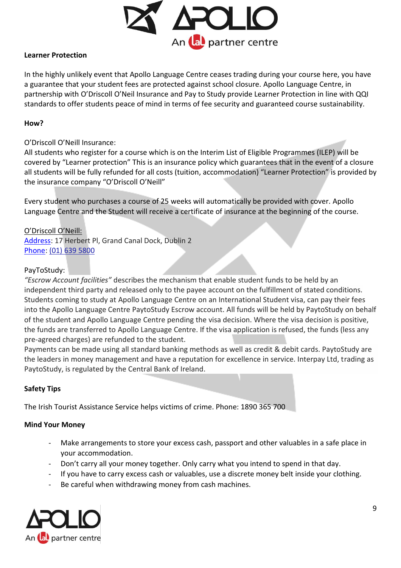

# **Learner Protection**

In the highly unlikely event that Apollo Language Centre ceases trading during your course here, you have a guarantee that your student fees are protected against school closure. Apollo Language Centre, in partnership with [O'Driscoll O'Neil Insurance](http://www.odon.ie/home) an[d Pay to Study](https://paytostudy.com/) provide Learner Protection in line with QQI standards to offer students peace of mind in terms of fee security and guaranteed course sustainability.

#### **How?**

#### O'Driscoll O'Neill Insurance:

All students who register for a course which is on the Interim List of Eligible Programmes (ILEP) will be covered by "Learner protection" This is an insurance policy which guarantees that in the event of a closure all students will be fully refunded for all costs (tuition, accommodation) "Learner Protection" is provided by the insurance company "O'Driscoll O'Neill"

Every student who purchases a course of 25 weeks will automatically be provided with cover. Apollo Language Centre and the Student will receive a certificate of insurance at the beginning of the course.

#### O'Driscoll O'Neill:

[Address:](https://www.google.ie/search?client=safari&rls=en&q=o+driscoll+o+neil+address&stick=H4sIAAAAAAAAAOPgE-LWT9c3LDPOKUi2zNCSzU620s_JT04syczPgzOsElNSilKLiwHTpQ6TLgAAAA&sa=X&ved=0ahUKEwjE87Wt363RAhWPclAKHZwTBboQ6BMIeTAR) 17 Herbert Pl, Grand Canal Dock, Dublin 2 [Phone:](https://www.google.ie/search?client=safari&rls=en&q=o+driscoll+o+neil+phone&stick=H4sIAAAAAAAAAOPgE-LWT9c3LDPOKUi2zNDSz0620k_Oz8lJTS7JzM_Tz87LL89JTUlPjS9IzEvNKdbPSCyOL8jIz0u1ApMAfzoZaEAAAAA&sa=X&ved=0ahUKEwjE87Wt363RAhWPclAKHZwTBboQ6BMIfDAS) [\(01\) 639 5800](javascript:void(0))

#### PayToStudy:

*"Escrow Account facilities"* describes the mechanism that enable student funds to be held by an independent third party and released only to the payee account on the fulfillment of stated conditions. Students coming to study at Apollo Language Centre on an International Student visa, can pay their fees into the Apollo Language Centre PaytoStudy Escrow account. All funds will be held by PaytoStudy on behalf of the student and Apollo Language Centre pending the visa decision. Where the visa decision is positive, the funds are transferred to Apollo Language Centre. If the visa application is refused, the funds (less any pre-agreed charges) are refunded to the student.

Payments can be made using all standard banking methods as well as credit & debit cards. PaytoStudy are the leaders in money management and have a reputation for excellence in service. Interpay Ltd, trading as PaytoStudy, is regulated by the Central Bank of Ireland.

# **Safety Tips**

The Irish Tourist Assistance Service helps victims of crime. Phone: 1890 365 700

#### **Mind Your Money**

- Make arrangements to store your excess cash, passport and other valuables in a safe place in your accommodation.
- Don't carry all your money together. Only carry what you intend to spend in that day.
- If you have to carry excess cash or valuables, use a discrete money belt inside your clothing.
- Be careful when withdrawing money from cash machines.

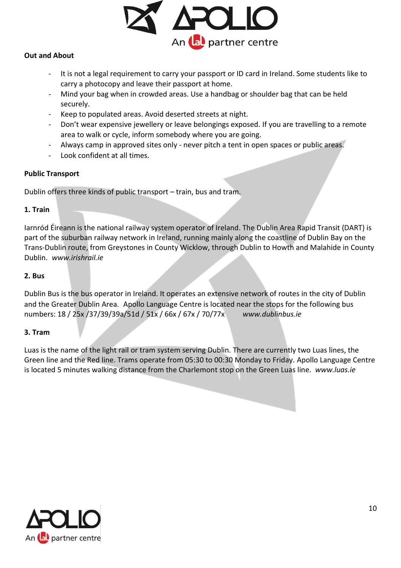

# **Out and About**

- It is not a legal requirement to carry your passport or ID card in Ireland. Some students like to carry a photocopy and leave their passport at home.
- Mind your bag when in crowded areas. Use a handbag or shoulder bag that can be held securely.
- Keep to populated areas. Avoid deserted streets at night.
- Don't wear expensive jewellery or leave belongings exposed. If you are travelling to a remote area to walk or cycle, inform somebody where you are going.
- Always camp in approved sites only never pitch a tent in open spaces or public areas.
- Look confident at all times.

# **Public Transport**

Dublin offers three kinds of public transport – train, bus and tram.

#### **1. Train**

Iarnród Éireann is the national railway system operator of Ireland. The Dublin Area Rapid Transit (DART) is part of the suburban railway network in Ireland, running mainly along the coastline of Dublin Bay on the Trans-Dublin route, from Greystones in County Wicklow, through Dublin to Howth and Malahide in County Dublin. *www.irishrail.ie* 

# **2. Bus**

Dublin Bus is the bus operator in Ireland. It operates an extensive network of routes in the city of Dublin and the Greater Dublin Area. Apollo Language Centre is located near the stops for the following bus numbers: 18 / 25x /37/39/39a/51d / 51x / 66x / 67x / 70/77x *www.dublinbus.ie* 

#### **3. Tram**

Luas is the name of the light rail or tram system serving Dublin. There are currently two Luas lines, the Green line and the Red line. Trams operate from 05:30 to 00:30 Monday to Friday. Apollo Language Centre is located 5 minutes walking distance from the Charlemont stop on the Green Luas line. *www.luas.ie*

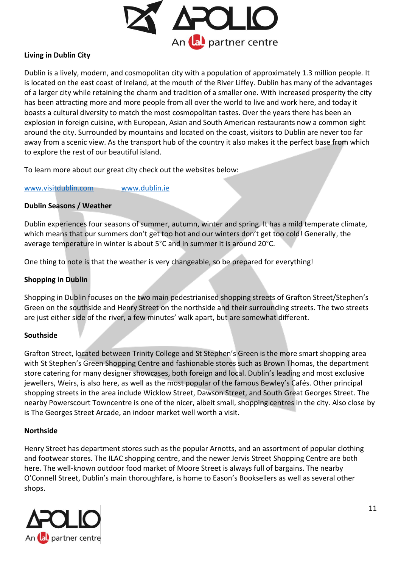

# **Living in Dublin City**

Dublin is a lively, modern, and cosmopolitan city with a population of approximately 1.3 million people. It is located on the east coast of Ireland, at the mouth of the River Liffey. Dublin has many of the advantages of a larger city while retaining the charm and tradition of a smaller one. With increased prosperity the city has been attracting more and more people from all over the world to live and work here, and today it boasts a cultural diversity to match the most cosmopolitan tastes. Over the years there has been an explosion in foreign cuisine, with European, Asian and South American restaurants now a common sight around the city. Surrounded by mountains and located on the coast, visitors to Dublin are never too far away from a scenic view. As the transport hub of the country it also makes it the perfect base from which to explore the rest of our beautiful island.

To learn more about our great city check out the websites below:

[www.visitdublin.com](http://www.visitdublin.com/) [www.dublin.ie](http://www.dublin.ie/)

#### **Dublin Seasons / Weather**

Dublin experiences four seasons of summer, autumn, winter and spring. It has a mild temperate climate, which means that our summers don't get too hot and our winters don't get too cold! Generally, the average temperature in winter is about 5°C and in summer it is around 20°C.

One thing to note is that the weather is very changeable, so be prepared for everything!

#### **Shopping in Dublin**

Shopping in Dublin focuses on the two main pedestrianised shopping streets of Grafton Street/Stephen's Green on the southside and Henry Street on the northside and their surrounding streets. The two streets are just either side of the river, a few minutes' walk apart, but are somewhat different.

#### **Southside**

Grafton Street, located between Trinity College and St Stephen's Green is the more smart shopping area with St Stephen's Green Shopping Centre and fashionable stores such as Brown Thomas, the department store catering for many designer showcases, both foreign and local. Dublin's leading and most exclusive jewellers, Weirs, is also here, as well as the most popular of the famous Bewley's Cafés. Other principal shopping streets in the area include Wicklow Street, Dawson Street, and South Great Georges Street. The nearby Powerscourt Towncentre is one of the nicer, albeit small, shopping centres in the city. Also close by is The Georges Street Arcade, an indoor market well worth a visit.

#### **Northside**

Henry Street has department stores such as the popular Arnotts, and an assortment of popular clothing and footwear stores. The ILAC shopping centre, and the newer Jervis Street Shopping Centre are both here. The well-known outdoor food market of Moore Street is always full of bargains. The nearby O'Connell Street, Dublin's main thoroughfare, is home to Eason's Booksellers as well as several other shops.

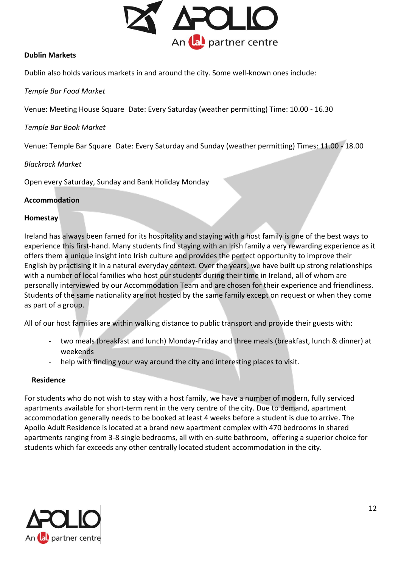

#### **Dublin Markets**

Dublin also holds various markets in and around the city. Some well-known ones include:

*Temple Bar Food Market* 

Venue: Meeting House Square Date: Every Saturday (weather permitting) Time: 10.00 - 16.30

*Temple Bar Book Market* 

Venue: Temple Bar Square Date: Every Saturday and Sunday (weather permitting) Times: 11.00 - 18.00

#### *Blackrock Market*

Open every Saturday, Sunday and Bank Holiday Monday

#### **Accommodation**

#### **Homestay**

Ireland has always been famed for its hospitality and staying with a host family is one of the best ways to experience this first-hand. Many students find staying with an Irish family a very rewarding experience as it offers them a unique insight into Irish culture and provides the perfect opportunity to improve their English by practising it in a natural everyday context. Over the years, we have built up strong relationships with a number of local families who host our students during their time in Ireland, all of whom are personally interviewed by our Accommodation Team and are chosen for their experience and friendliness. Students of the same nationality are not hosted by the same family except on request or when they come as part of a group.

All of our host families are within walking distance to public transport and provide their guests with:

- two meals (breakfast and lunch) Monday-Friday and three meals (breakfast, lunch & dinner) at weekends
- help with finding your way around the city and interesting places to visit.

#### **Residence**

For students who do not wish to stay with a host family, we have a number of modern, fully serviced apartments available for short-term rent in the very centre of the city. Due to demand, apartment accommodation generally needs to be booked at least 4 weeks before a student is due to arrive. The Apollo Adult Residence is located at a brand new apartment complex with 470 bedrooms in shared apartments ranging from 3-8 single bedrooms, all with en-suite bathroom, offering a superior choice for students which far exceeds any other centrally located student accommodation in the city.

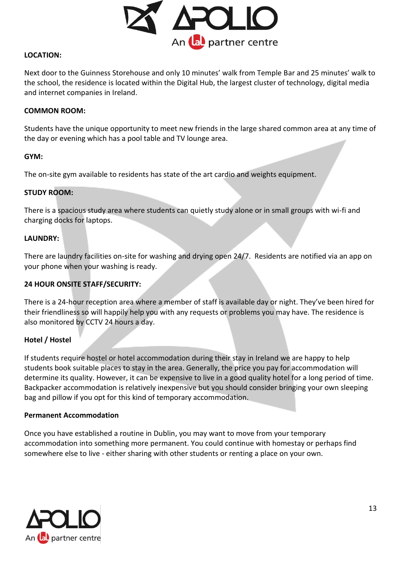

#### **LOCATION:**

Next door to the Guinness Storehouse and only 10 minutes' walk from Temple Bar and 25 minutes' walk to the school, the residence is located within the Digital Hub, the largest cluster of technology, digital media and internet companies in Ireland.

#### **COMMON ROOM:**

Students have the unique opportunity to meet new friends in the large shared common area at any time of the day or evening which has a pool table and TV lounge area.

#### **GYM:**

The on-site gym available to residents has state of the art cardio and weights equipment.

#### **STUDY ROOM:**

There is a spacious study area where students can quietly study alone or in small groups with wi-fi and charging docks for laptops.

#### **LAUNDRY:**

There are laundry facilities on-site for washing and drying open 24/7. Residents are notified via an app on your phone when your washing is ready.

#### **24 HOUR ONSITE STAFF/SECURITY:**

There is a 24-hour reception area where a member of staff is available day or night. They've been hired for their friendliness so will happily help you with any requests or problems you may have. The residence is also monitored by CCTV 24 hours a day.

# **Hotel / Hostel**

If students require hostel or hotel accommodation during their stay in Ireland we are happy to help students book suitable places to stay in the area. Generally, the price you pay for accommodation will determine its quality. However, it can be expensive to live in a good quality hotel for a long period of time. Backpacker accommodation is relatively inexpensive but you should consider bringing your own sleeping bag and pillow if you opt for this kind of temporary accommodation.

#### **Permanent Accommodation**

Once you have established a routine in Dublin, you may want to move from your temporary accommodation into something more permanent. You could continue with homestay or perhaps find somewhere else to live - either sharing with other students or renting a place on your own.

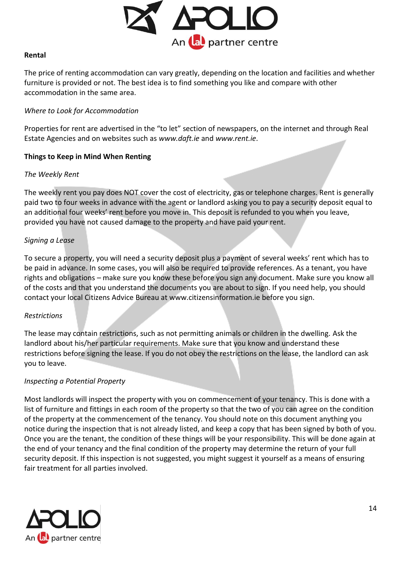

#### **Rental**

The price of renting accommodation can vary greatly, depending on the location and facilities and whether furniture is provided or not. The best idea is to find something you like and compare with other accommodation in the same area.

#### *Where to Look for Accommodation*

Properties for rent are advertised in the "to let" section of newspapers, on the internet and through Real Estate Agencies and on websites such as *www.daft.ie* and *www.rent.ie*.

# **Things to Keep in Mind When Renting**

#### *The Weekly Rent*

The weekly rent you pay does NOT cover the cost of electricity, gas or telephone charges. Rent is generally paid two to four weeks in advance with the agent or landlord asking you to pay a security deposit equal to an additional four weeks' rent before you move in. This deposit is refunded to you when you leave, provided you have not caused damage to the property and have paid your rent.

# *Signing a Lease*

To secure a property, you will need a security deposit plus a payment of several weeks' rent which has to be paid in advance. In some cases, you will also be required to provide references. As a tenant, you have rights and obligations – make sure you know these before you sign any document. Make sure you know all of the costs and that you understand the documents you are about to sign. If you need help, you should contact your local Citizens Advice Bureau at www.citizensinformation.ie before you sign.

# *Restrictions*

The lease may contain restrictions, such as not permitting animals or children in the dwelling. Ask the landlord about his/her particular requirements. Make sure that you know and understand these restrictions before signing the lease. If you do not obey the restrictions on the lease, the landlord can ask you to leave.

# *Inspecting a Potential Property*

Most landlords will inspect the property with you on commencement of your tenancy. This is done with a list of furniture and fittings in each room of the property so that the two of you can agree on the condition of the property at the commencement of the tenancy. You should note on this document anything you notice during the inspection that is not already listed, and keep a copy that has been signed by both of you. Once you are the tenant, the condition of these things will be your responsibility. This will be done again at the end of your tenancy and the final condition of the property may determine the return of your full security deposit. If this inspection is not suggested, you might suggest it yourself as a means of ensuring fair treatment for all parties involved.

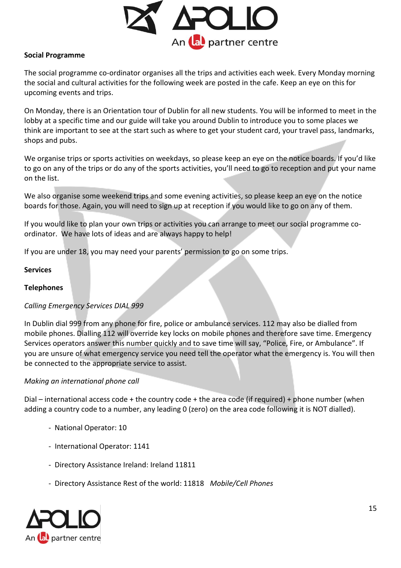

# **Social Programme**

The social programme co-ordinator organises all the trips and activities each week. Every Monday morning the social and cultural activities for the following week are posted in the cafe. Keep an eye on this for upcoming events and trips.

On Monday, there is an Orientation tour of Dublin for all new students. You will be informed to meet in the lobby at a specific time and our guide will take you around Dublin to introduce you to some places we think are important to see at the start such as where to get your student card, your travel pass, landmarks, shops and pubs.

We organise trips or sports activities on weekdays, so please keep an eye on the notice boards. If you'd like to go on any of the trips or do any of the sports activities, you'll need to go to reception and put your name on the list.

We also organise some weekend trips and some evening activities, so please keep an eye on the notice boards for those. Again, you will need to sign up at reception if you would like to go on any of them.

If you would like to plan your own trips or activities you can arrange to meet our social programme coordinator. We have lots of ideas and are always happy to help!

If you are under 18, you may need your parents' permission to go on some trips.

#### **Services**

#### **Telephones**

# *Calling Emergency Services DIAL 999*

In Dublin dial 999 from any phone for fire, police or ambulance services. 112 may also be dialled from mobile phones. Dialling 112 will override key locks on mobile phones and therefore save time. Emergency Services operators answer this number quickly and to save time will say, "Police, Fire, or Ambulance". If you are unsure of what emergency service you need tell the operator what the emergency is. You will then be connected to the appropriate service to assist.

#### *Making an international phone call*

Dial – international access code + the country code + the area code (if required) + phone number (when adding a country code to a number, any leading 0 (zero) on the area code following it is NOT dialled).

- National Operator: 10
- International Operator: 1141
- Directory Assistance Ireland: Ireland 11811
- Directory Assistance Rest of the world: 11818 *Mobile/Cell Phones*

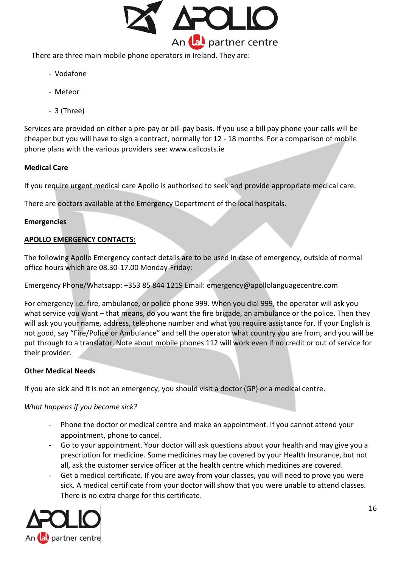

There are three main mobile phone operators in Ireland. They are:

- Vodafone
- Meteor
- 3 (Three)

Services are provided on either a pre-pay or bill-pay basis. If you use a bill pay phone your calls will be cheaper but you will have to sign a contract, normally for 12 - 18 months. For a comparison of mobile phone plans with the various providers see: www.callcosts.ie

# **Medical Care**

If you require urgent medical care Apollo is authorised to seek and provide appropriate medical care.

There are doctors available at the Emergency Department of the local hospitals.

#### **Emergencies**

# **APOLLO EMERGENCY CONTACTS:**

The following Apollo Emergency contact details are to be used in case of emergency, outside of normal office hours which are 08.30-17.00 Monday-Friday:

Emergency Phone/Whatsapp: +353 85 844 1219 Email: emergency@apollolanguagecentre.com

For emergency i.e. fire, ambulance, or police phone 999. When you dial 999, the operator will ask you what service you want – that means, do you want the fire brigade, an ambulance or the police. Then they will ask you your name, address, telephone number and what you require assistance for. If your English is not good, say "Fire/Police or Ambulance" and tell the operator what country you are from, and you will be put through to a translator. Note about mobile phones 112 will work even if no credit or out of service for their provider.

# **Other Medical Needs**

If you are sick and it is not an emergency, you should visit a doctor (GP) or a medical centre.

#### *What happens if you become sick?*

- Phone the doctor or medical centre and make an appointment. If you cannot attend your appointment, phone to cancel.
- Go to your appointment. Your doctor will ask questions about your health and may give you a prescription for medicine. Some medicines may be covered by your Health Insurance, but not all, ask the customer service officer at the health centre which medicines are covered.
- Get a medical certificate. If you are away from your classes, you will need to prove you were sick. A medical certificate from your doctor will show that you were unable to attend classes. There is no extra charge for this certificate.

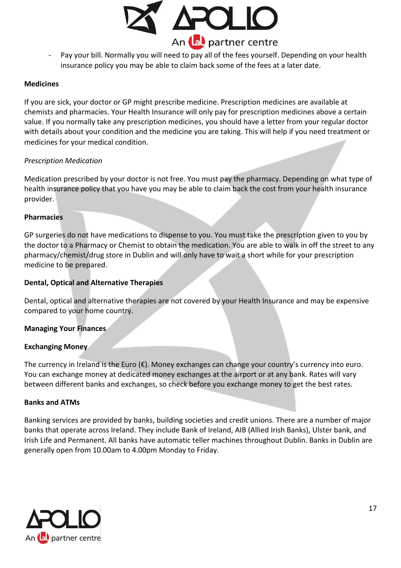

- Pay your bill. Normally you will need to pay all of the fees yourself. Depending on your health insurance policy you may be able to claim back some of the fees at a later date.

#### **Medicines**

If you are sick, your doctor or GP might prescribe medicine. Prescription medicines are available at chemists and pharmacies. Your Health Insurance will only pay for prescription medicines above a certain value. If you normally take any prescription medicines, you should have a letter from your regular doctor with details about your condition and the medicine you are taking. This will help if you need treatment or medicines for your medical condition.

#### *Prescription Medication*

Medication prescribed by your doctor is not free. You must pay the pharmacy. Depending on what type of health insurance policy that you have you may be able to claim back the cost from your health insurance provider.

#### **Pharmacies**

GP surgeries do not have medications to dispense to you. You must take the prescription given to you by the doctor to a Pharmacy or Chemist to obtain the medication. You are able to walk in off the street to any pharmacy/chemist/drug store in Dublin and will only have to wait a short while for your prescription medicine to be prepared.

#### **Dental, Optical and Alternative Therapies**

Dental, optical and alternative therapies are not covered by your Health Insurance and may be expensive compared to your home country.

# **Managing Your Finances**

#### **Exchanging Money**

The currency in Ireland is the Euro (€). Money exchanges can change your country's currency into euro. You can exchange money at dedicated money exchanges at the airport or at any bank. Rates will vary between different banks and exchanges, so check before you exchange money to get the best rates.

#### **Banks and ATMs**

Banking services are provided by banks, building societies and credit unions. There are a number of major banks that operate across Ireland. They include Bank of Ireland, AIB (Allied Irish Banks), Ulster bank, and Irish Life and Permanent. All banks have automatic teller machines throughout Dublin. Banks in Dublin are generally open from 10.00am to 4.00pm Monday to Friday.

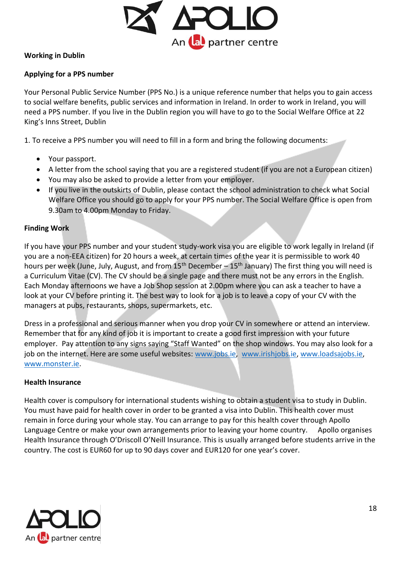

# **Working in Dublin**

# **Applying for a PPS number**

Your Personal Public Service Number (PPS No.) is a unique reference number that helps you to gain access to social welfare benefits, public services and information in Ireland. In order to work in Ireland, you will need a PPS number. If you live in the Dublin region you will have to go to the Social Welfare Office at 22 King's Inns Street, Dublin

1. To receive a PPS number you will need to fill in a form and bring the following documents:

- Your passport.
- A letter from the school saying that you are a registered student (if you are not a European citizen)
- You may also be asked to provide a letter from your employer.
- If you live in the outskirts of Dublin, please contact the school administration to check what Social Welfare Office you should go to apply for your PPS number. The Social Welfare Office is open from 9.30am to 4.00pm Monday to Friday.

# **Finding Work**

If you have your PPS number and your student study-work visa you are eligible to work legally in Ireland (if you are a non-EEA citizen) for 20 hours a week, at certain times of the year it is permissible to work 40 hours per week (June, July, August, and from 15<sup>th</sup> December – 15<sup>th</sup> January) The first thing you will need is a Curriculum Vitae (CV). The CV should be a single page and there must not be any errors in the English. Each Monday afternoons we have a Job Shop session at 2.00pm where you can ask a teacher to have a look at your CV before printing it. The best way to look for a job is to leave a copy of your CV with the managers at pubs, restaurants, shops, supermarkets, etc.

Dress in a professional and serious manner when you drop your CV in somewhere or attend an interview. Remember that for any kind of job it is important to create a good first impression with your future employer. Pay attention to any signs saying "Staff Wanted" on the shop windows. You may also look for a job on the internet. Here are some useful websites: [www.jobs.ie,](http://www.jobs.ie/) [www.irishjobs.ie,](http://www.irishjobs.ie/) [www.loadsajobs.ie,](http://www.loadsajobs.ie/) [www.monster.ie.](http://www.monster.ie/)

# **Health Insurance**

Health cover is compulsory for international students wishing to obtain a student visa to study in Dublin. You must have paid for health cover in order to be granted a visa into Dublin. This health cover must remain in force during your whole stay. You can arrange to pay for this health cover through Apollo Language Centre or make your own arrangements prior to leaving your home country. Apollo organises Health Insurance through O'Driscoll O'Neill Insurance. This is usually arranged before students arrive in the country. The cost is EUR60 for up to 90 days cover and EUR120 for one year's cover.

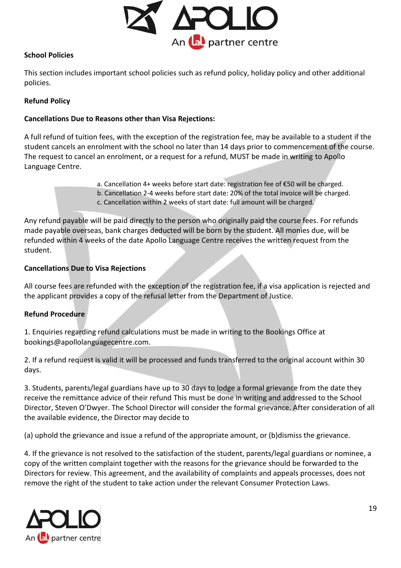

#### **School Policies**

This section includes important school policies such as refund policy, holiday policy and other additional policies.

# **Refund Policy**

# **Cancellations Due to Reasons other than Visa Rejections:**

A full refund of tuition fees, with the exception of the registration fee, may be available to a student if the student cancels an enrolment with the school no later than 14 days prior to commencement of the course. The request to cancel an enrolment, or a request for a refund, MUST be made in writing to Apollo Language Centre.

> a. Cancellation 4+ weeks before start date: registration fee of €50 will be charged. b. Cancellation 2-4 weeks before start date: 20% of the total invoice will be charged. c. Cancellation within 2 weeks of start date: full amount will be charged.

Any refund payable will be paid directly to the person who originally paid the course fees. For refunds made payable overseas, bank charges deducted will be born by the student. All monies due, will be refunded within 4 weeks of the date Apollo Language Centre receives the written request from the student.

#### **Cancellations Due to Visa Rejections**

All course fees are refunded with the exception of the registration fee, if a visa application is rejected and the applicant provides a copy of the refusal letter from the Department of Justice.

#### **Refund Procedure**

1. Enquiries regarding refund calculations must be made in writing to the Bookings Office at bookings@apollolanguagecentre.com.

2. If a refund request is valid it will be processed and funds transferred to the original account within 30 days.

3. Students, parents/legal guardians have up to 30 days to lodge a formal grievance from the date they receive the remittance advice of their refund This must be done in writing and addressed to the School Director, Steven O'Dwyer. The School Director will consider the formal grievance. After consideration of all the available evidence, the Director may decide to

(a) uphold the grievance and issue a refund of the appropriate amount, or (b)dismiss the grievance.

4. If the grievance is not resolved to the satisfaction of the student, parents/legal guardians or nominee, a copy of the written complaint together with the reasons for the grievance should be forwarded to the Directors for review. This agreement, and the availability of complaints and appeals processes, does not remove the right of the student to take action under the relevant Consumer Protection Laws.

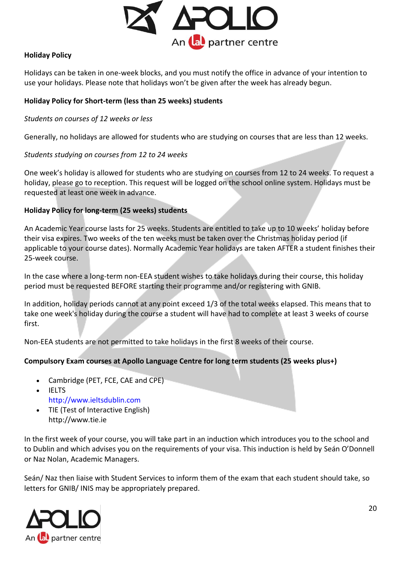

#### **Holiday Policy**

Holidays can be taken in one-week blocks, and you must notify the office in advance of your intention to use your holidays. Please note that holidays won't be given after the week has already begun.

# **Holiday Policy for Short-term (less than 25 weeks) students**

*Students on courses of 12 weeks or less* 

Generally, no holidays are allowed for students who are studying on courses that are less than 12 weeks.

#### *Students studying on courses from 12 to 24 weeks*

One week's holiday is allowed for students who are studying on courses from 12 to 24 weeks. To request a holiday, please go to reception. This request will be logged on the school online system. Holidays must be requested at least one week in advance.

#### **Holiday Policy for long-term (25 weeks) students**

An Academic Year course lasts for 25 weeks. Students are entitled to take up to 10 weeks' holiday before their visa expires. Two weeks of the ten weeks must be taken over the Christmas holiday period (if applicable to your course dates). Normally Academic Year holidays are taken AFTER a student finishes their 25-week course.

In the case where a long-term non-EEA student wishes to take holidays during their course, this holiday period must be requested BEFORE starting their programme and/or registering with GNIB.

In addition, holiday periods cannot at any point exceed 1/3 of the total weeks elapsed. This means that to take one week's holiday during the course a student will have had to complete at least 3 weeks of course first.

Non-EEA students are not permitted to take holidays in the first 8 weeks of their course.

# **Compulsory Exam courses at Apollo Language Centre for long term students (25 weeks plus+)**

- Cambridge (PET, FCE, CAE and CPE)
- IELTS http://www.ieltsdublin.com
- TIE (Test of Interactive English) http://www.tie.ie

In the first week of your course, you will take part in an induction which introduces you to the school and to Dublin and which advises you on the requirements of your visa. This induction is held by Seán O'Donnell or Naz Nolan, Academic Managers.

Seán/ Naz then liaise with Student Services to inform them of the exam that each student should take, so letters for GNIB/ INIS may be appropriately prepared.

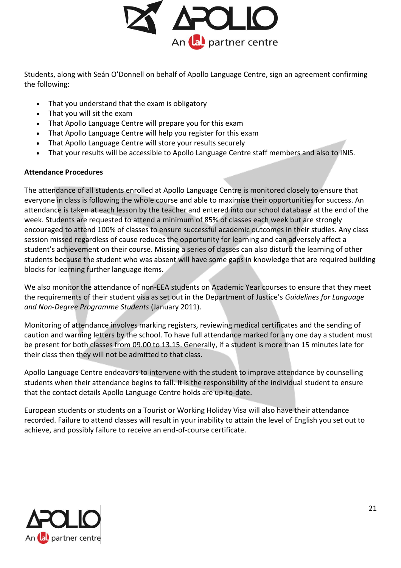

Students, along with Seán O'Donnell on behalf of Apollo Language Centre, sign an agreement confirming the following:

- That you understand that the exam is obligatory
- That you will sit the exam
- That Apollo Language Centre will prepare you for this exam
- That Apollo Language Centre will help you register for this exam
- That Apollo Language Centre will store your results securely
- That your results will be accessible to Apollo Language Centre staff members and also to INIS.

#### **Attendance Procedures**

The attendance of all students enrolled at Apollo Language Centre is monitored closely to ensure that everyone in class is following the whole course and able to maximise their opportunities for success. An attendance is taken at each lesson by the teacher and entered into our school database at the end of the week. Students are requested to attend a minimum of 85% of classes each week but are strongly encouraged to attend 100% of classes to ensure successful academic outcomes in their studies. Any class session missed regardless of cause reduces the opportunity for learning and can adversely affect a student's achievement on their course. Missing a series of classes can also disturb the learning of other students because the student who was absent will have some gaps in knowledge that are required building blocks for learning further language items.

We also monitor the attendance of non-EEA students on Academic Year courses to ensure that they meet the requirements of their student visa as set out in the Department of Justice's *Guidelines for Language and Non-Degree Programme Students* (January 2011).

Monitoring of attendance involves marking registers, reviewing medical certificates and the sending of caution and warning letters by the school. To have full attendance marked for any one day a student must be present for both classes from 09.00 to 13.15. Generally, if a student is more than 15 minutes late for their class then they will not be admitted to that class.

Apollo Language Centre endeavors to intervene with the student to improve attendance by counselling students when their attendance begins to fall. It is the responsibility of the individual student to ensure that the contact details Apollo Language Centre holds are up-to-date.

European students or students on a Tourist or Working Holiday Visa will also have their attendance recorded. Failure to attend classes will result in your inability to attain the level of English you set out to achieve, and possibly failure to receive an end-of-course certificate.

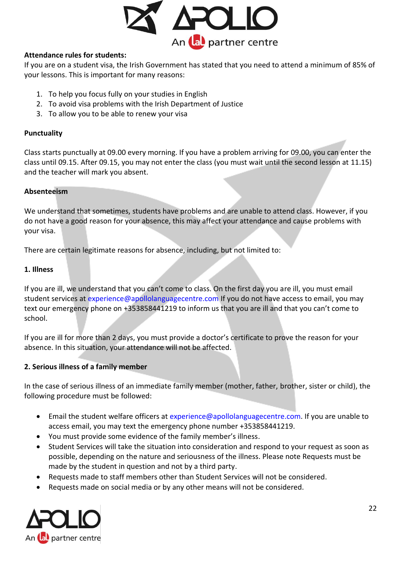

# **Attendance rules for students:**

If you are on a student visa, the Irish Government has stated that you need to attend a minimum of 85% of your lessons. This is important for many reasons:

- 1. To help you focus fully on your studies in English
- 2. To avoid visa problems with the Irish Department of Justice
- 3. To allow you to be able to renew your visa

#### **Punctuality**

Class starts punctually at 09.00 every morning. If you have a problem arriving for 09.00, you can enter the class until 09.15. After 09.15, you may not enter the class (you must wait until the second lesson at 11.15) and the teacher will mark you absent.

#### **Absenteeism**

We understand that sometimes, students have problems and are unable to attend class. However, if you do not have a good reason for your absence, this may affect your attendance and cause problems with your visa.

There are certain legitimate reasons for absence, including, but not limited to:

#### **1. Illness**

If you are ill, we understand that you can't come to class. On the first day you are ill, you must email student services at experience@apollolanguagecentre.com If you do not have access to email, you may text our emergency phone on +353858441219 to inform us that you are ill and that you can't come to school.

If you are ill for more than 2 days, you must provide a doctor's certificate to prove the reason for your absence. In this situation, your attendance will not be affected.

# **2. Serious illness of a family member**

In the case of serious illness of an immediate family member (mother, father, brother, sister or child), the following procedure must be followed:

- Email the student welfare officers at experience@apollolanguagecentre.com. If you are unable to access email, you may text the emergency phone number +353858441219.
- You must provide some evidence of the family member's illness.
- Student Services will take the situation into consideration and respond to your request as soon as possible, depending on the nature and seriousness of the illness. Please note Requests must be made by the student in question and not by a third party.
- Requests made to staff members other than Student Services will not be considered.
- Requests made on social media or by any other means will not be considered.

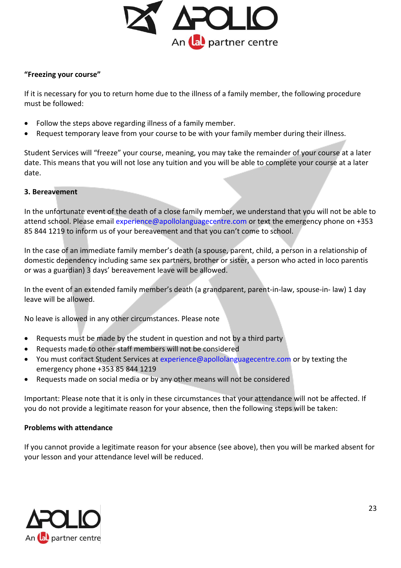

#### **"Freezing your course"**

If it is necessary for you to return home due to the illness of a family member, the following procedure must be followed:

- Follow the steps above regarding illness of a family member.
- Request temporary leave from your course to be with your family member during their illness.

Student Services will "freeze" your course, meaning, you may take the remainder of your course at a later date. This means that you will not lose any tuition and you will be able to complete your course at a later date.

#### **3. Bereavement**

In the unfortunate event of the death of a close family member, we understand that you will not be able to attend school. Please email experience@apollolanguagecentre.com or text the emergency phone on +353 85 844 1219 to inform us of your bereavement and that you can't come to school.

In the case of an immediate family member's death (a spouse, parent, child, a person in a relationship of domestic dependency including same sex partners, brother or sister, a person who acted in loco parentis or was a guardian) 3 days' bereavement leave will be allowed.

In the event of an extended family member's death (a grandparent, parent-in-law, spouse-in- law) 1 day leave will be allowed.

No leave is allowed in any other circumstances. Please note

- Requests must be made by the student in question and not by a third party
- Requests made to other staff members will not be considered
- You must contact Student Services at experience@apollolanguagecentre.com or by texting the emergency phone +353 85 844 1219
- Requests made on social media or by any other means will not be considered

Important: Please note that it is only in these circumstances that your attendance will not be affected. If you do not provide a legitimate reason for your absence, then the following steps will be taken:

#### **Problems with attendance**

If you cannot provide a legitimate reason for your absence (see above), then you will be marked absent for your lesson and your attendance level will be reduced.

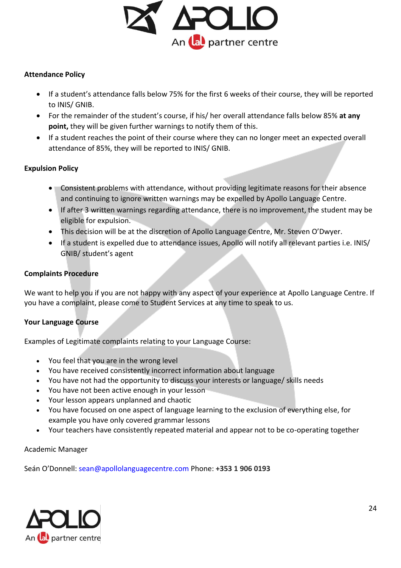

#### **Attendance Policy**

- If a student's attendance falls below 75% for the first 6 weeks of their course, they will be reported to INIS/ GNIB.
- For the remainder of the student's course, if his/ her overall attendance falls below 85% **at any point,** they will be given further warnings to notify them of this.
- If a student reaches the point of their course where they can no longer meet an expected overall attendance of 85%, they will be reported to INIS/ GNIB.

#### **Expulsion Policy**

- Consistent problems with attendance, without providing legitimate reasons for their absence and continuing to ignore written warnings may be expelled by Apollo Language Centre.
- If after 3 written warnings regarding attendance, there is no improvement, the student may be eligible for expulsion.
- This decision will be at the discretion of Apollo Language Centre, Mr. Steven O'Dwyer.
- If a student is expelled due to attendance issues, Apollo will notify all relevant parties i.e. INIS/ GNIB/ student's agent

#### **Complaints Procedure**

We want to help you if you are not happy with any aspect of your experience at Apollo Language Centre. If you have a complaint, please come to Student Services at any time to speak to us.

#### **Your Language Course**

Examples of Legitimate complaints relating to your Language Course:

- You feel that you are in the wrong level
- You have received consistently incorrect information about language
- You have not had the opportunity to discuss your interests or language/ skills needs
- You have not been active enough in your lesson
- Your lesson appears unplanned and chaotic
- You have focused on one aspect of language learning to the exclusion of everything else, for example you have only covered grammar lessons
- Your teachers have consistently repeated material and appear not to be co-operating together

Academic Manager

Seán O'Donnell: sean@apollolanguagecentre.com Phone: **+353 1 906 0193**

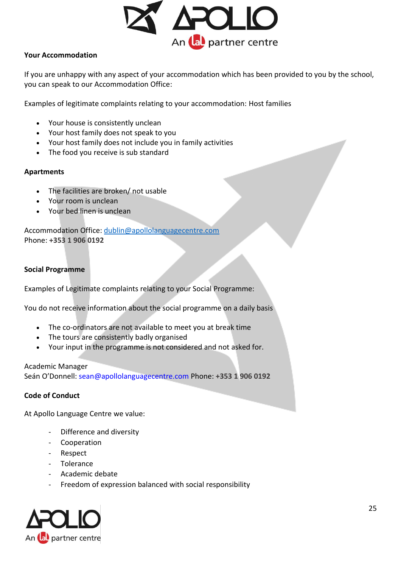

# **Your Accommodation**

If you are unhappy with any aspect of your accommodation which has been provided to you by the school, you can speak to our Accommodation Office:

Examples of legitimate complaints relating to your accommodation: Host families

- Your house is consistently unclean
- Your host family does not speak to you
- Your host family does not include you in family activities
- The food you receive is sub standard

# **Apartments**

- The facilities are broken/ not usable
- Your room is unclean
- Your bed linen is unclean

Accommodation Office: [dublin@apollolanguagecentre.com](mailto:dublin@apollolanguagecentre.com) Phone: **+353 1 906 0192**

# **Social Programme**

Examples of Legitimate complaints relating to your Social Programme:

You do not receive information about the social programme on a daily basis

- The co-ordinators are not available to meet you at break time
- The tours are consistently badly organised
- Your input in the programme is not considered and not asked for.

Academic Manager

Seán O'Donnell: sean@apollolanguagecentre.com Phone: **+353 1 906 0192**

# **Code of Conduct**

At Apollo Language Centre we value:

- Difference and diversity
- **Cooperation**
- Respect
- Tolerance
- Academic debate
- Freedom of expression balanced with social responsibility

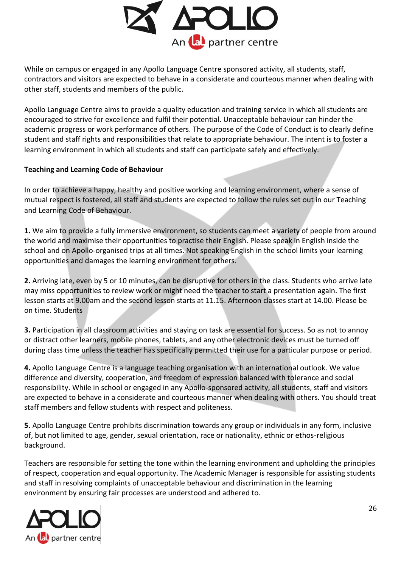

While on campus or engaged in any Apollo Language Centre sponsored activity, all students, staff, contractors and visitors are expected to behave in a considerate and courteous manner when dealing with other staff, students and members of the public.

Apollo Language Centre aims to provide a quality education and training service in which all students are encouraged to strive for excellence and fulfil their potential. Unacceptable behaviour can hinder the academic progress or work performance of others. The purpose of the Code of Conduct is to clearly define student and staff rights and responsibilities that relate to appropriate behaviour. The intent is to foster a learning environment in which all students and staff can participate safely and effectively.

# **Teaching and Learning Code of Behaviour**

In order to achieve a happy, healthy and positive working and learning environment, where a sense of mutual respect is fostered, all staff and students are expected to follow the rules set out in our Teaching and Learning Code of Behaviour.

**1.** We aim to provide a fully immersive environment, so students can meet a variety of people from around the world and maximise their opportunities to practise their English. Please speak in English inside the school and on Apollo-organised trips at all times. Not speaking English in the school limits your learning opportunities and damages the learning environment for others.

**2.** Arriving late, even by 5 or 10 minutes, can be disruptive for others in the class. Students who arrive late may miss opportunities to review work or might need the teacher to start a presentation again. The first lesson starts at 9.00am and the second lesson starts at 11.15. Afternoon classes start at 14.00. Please be on time. Students

**3.** Participation in all classroom activities and staying on task are essential for success. So as not to annoy or distract other learners, mobile phones, tablets, and any other electronic devices must be turned off during class time unless the teacher has specifically permitted their use for a particular purpose or period.

**4.** Apollo Language Centre is a language teaching organisation with an international outlook. We value difference and diversity, cooperation, and freedom of expression balanced with tolerance and social responsibility. While in school or engaged in any Apollo-sponsored activity, all students, staff and visitors are expected to behave in a considerate and courteous manner when dealing with others. You should treat staff members and fellow students with respect and politeness.

**5.** Apollo Language Centre prohibits discrimination towards any group or individuals in any form, inclusive of, but not limited to age, gender, sexual orientation, race or nationality, ethnic or ethos-religious background.

Teachers are responsible for setting the tone within the learning environment and upholding the principles of respect, cooperation and equal opportunity. The Academic Manager is responsible for assisting students and staff in resolving complaints of unacceptable behaviour and discrimination in the learning environment by ensuring fair processes are understood and adhered to.

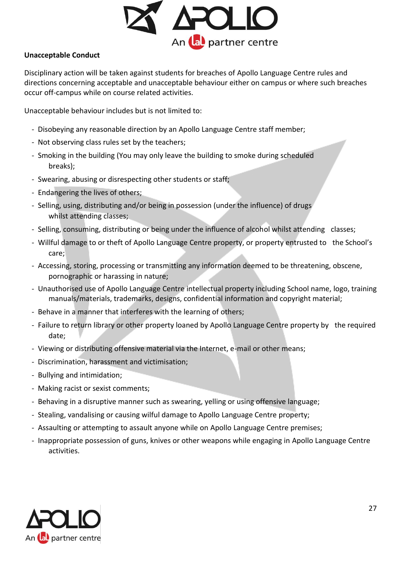

# **Unacceptable Conduct**

Disciplinary action will be taken against students for breaches of Apollo Language Centre rules and directions concerning acceptable and unacceptable behaviour either on campus or where such breaches occur off-campus while on course related activities.

Unacceptable behaviour includes but is not limited to:

- Disobeying any reasonable direction by an Apollo Language Centre staff member;
- Not observing class rules set by the teachers;
- Smoking in the building (You may only leave the building to smoke during scheduled breaks);
- Swearing, abusing or disrespecting other students or staff;
- Endangering the lives of others;
- Selling, using, distributing and/or being in possession (under the influence) of drugs whilst attending classes;
- Selling, consuming, distributing or being under the influence of alcohol whilst attending classes;
- Willful damage to or theft of Apollo Language Centre property, or property entrusted to the School's care;
- Accessing, storing, processing or transmitting any information deemed to be threatening, obscene, pornographic or harassing in nature;
- Unauthorised use of Apollo Language Centre intellectual property including School name, logo, training manuals/materials, trademarks, designs, confidential information and copyright material;
- Behave in a manner that interferes with the learning of others;
- Failure to return library or other property loaned by Apollo Language Centre property by the required date;
- Viewing or distributing offensive material via the Internet, e-mail or other means;
- Discrimination, harassment and victimisation;
- Bullying and intimidation;
- Making racist or sexist comments;
- Behaving in a disruptive manner such as swearing, yelling or using offensive language;
- Stealing, vandalising or causing wilful damage to Apollo Language Centre property;
- Assaulting or attempting to assault anyone while on Apollo Language Centre premises;
- Inappropriate possession of guns, knives or other weapons while engaging in Apollo Language Centre activities.

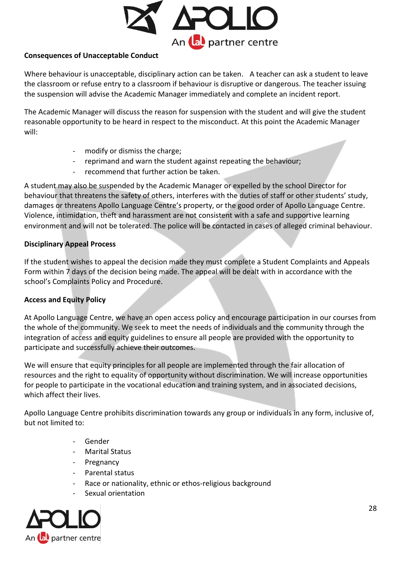

# **Consequences of Unacceptable Conduct**

Where behaviour is unacceptable, disciplinary action can be taken. A teacher can ask a student to leave the classroom or refuse entry to a classroom if behaviour is disruptive or dangerous. The teacher issuing the suspension will advise the Academic Manager immediately and complete an incident report.

The Academic Manager will discuss the reason for suspension with the student and will give the student reasonable opportunity to be heard in respect to the misconduct. At this point the Academic Manager will:

- modify or dismiss the charge;
- reprimand and warn the student against repeating the behaviour;
- recommend that further action be taken.

A student may also be suspended by the Academic Manager or expelled by the school Director for behaviour that threatens the safety of others, interferes with the duties of staff or other students' study, damages or threatens Apollo Language Centre's property, or the good order of Apollo Language Centre. Violence, intimidation, theft and harassment are not consistent with a safe and supportive learning environment and will not be tolerated. The police will be contacted in cases of alleged criminal behaviour.

# **Disciplinary Appeal Process**

If the student wishes to appeal the decision made they must complete a Student Complaints and Appeals Form within 7 days of the decision being made. The appeal will be dealt with in accordance with the school's Complaints Policy and Procedure.

# **Access and Equity Policy**

At Apollo Language Centre, we have an open access policy and encourage participation in our courses from the whole of the community. We seek to meet the needs of individuals and the community through the integration of access and equity guidelines to ensure all people are provided with the opportunity to participate and successfully achieve their outcomes.

We will ensure that equity principles for all people are implemented through the fair allocation of resources and the right to equality of opportunity without discrimination. We will increase opportunities for people to participate in the vocational education and training system, and in associated decisions, which affect their lives.

Apollo Language Centre prohibits discrimination towards any group or individuals in any form, inclusive of, but not limited to:

- **Gender**
- Marital Status
- Pregnancy
- Parental status
- Race or nationality, ethnic or ethos-religious background
- Sexual orientation

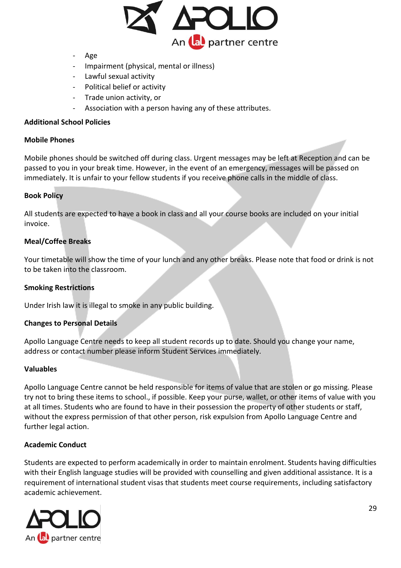

- Age
- Impairment (physical, mental or illness)
- Lawful sexual activity
- Political belief or activity
- Trade union activity, or
- Association with a person having any of these attributes.

#### **Additional School Policies**

#### **Mobile Phones**

Mobile phones should be switched off during class. Urgent messages may be left at Reception and can be passed to you in your break time. However, in the event of an emergency, messages will be passed on immediately. It is unfair to your fellow students if you receive phone calls in the middle of class.

#### **Book Policy**

All students are expected to have a book in class and all your course books are included on your initial invoice.

#### **Meal/Coffee Breaks**

Your timetable will show the time of your lunch and any other breaks. Please note that food or drink is not to be taken into the classroom.

#### **Smoking Restrictions**

Under Irish law it is illegal to smoke in any public building.

#### **Changes to Personal Details**

Apollo Language Centre needs to keep all student records up to date. Should you change your name, address or contact number please inform Student Services immediately.

#### **Valuables**

Apollo Language Centre cannot be held responsible for items of value that are stolen or go missing. Please try not to bring these items to school., if possible. Keep your purse, wallet, or other items of value with you at all times. Students who are found to have in their possession the property of other students or staff, without the express permission of that other person, risk expulsion from Apollo Language Centre and further legal action.

#### **Academic Conduct**

Students are expected to perform academically in order to maintain enrolment. Students having difficulties with their English language studies will be provided with counselling and given additional assistance. It is a requirement of international student visas that students meet course requirements, including satisfactory academic achievement.

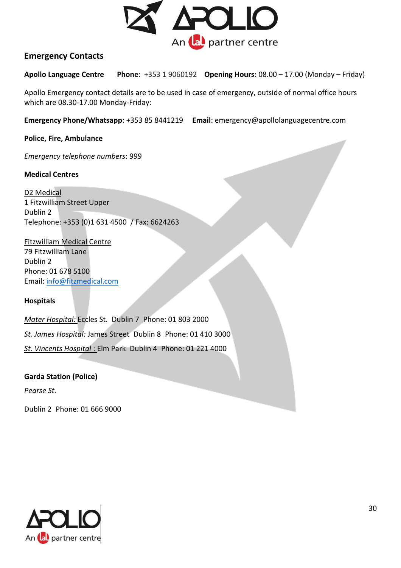

# **Emergency Contacts**

**Apollo Language Centre Phone**: +353 1 9060192 **Opening Hours:** 08.00 – 17.00 (Monday – Friday)

Apollo Emergency contact details are to be used in case of emergency, outside of normal office hours which are 08.30-17.00 Monday-Friday:

**Emergency Phone/Whatsapp**: +353 85 8441219 **Email**: emergency@apollolanguagecentre.com

**Police, Fire, Ambulance** 

*Emergency telephone numbers*: 999

#### **Medical Centres**

D2 Medical 1 Fitzwilliam Street Upper Dublin 2 Telephone: +353 (0)1 631 4500 / Fax: 6624263

Fitzwilliam Medical Centre 79 Fitzwilliam Lane Dublin 2 Phone: 01 678 5100 Email: [info@fitzmedical.com](mailto:info@fitzmedical.com)

# **Hospitals**

*Mater Hospital:* Eccles St. Dublin 7 Phone: 01 803 2000 *St. James Hospital:* James Street Dublin 8 Phone: 01 410 3000 *St. Vincents Hospital* : Elm Park Dublin 4 Phone: 01 221 4000

**Garda Station (Police)**  *Pearse St.* 

Dublin 2 Phone: 01 666 9000